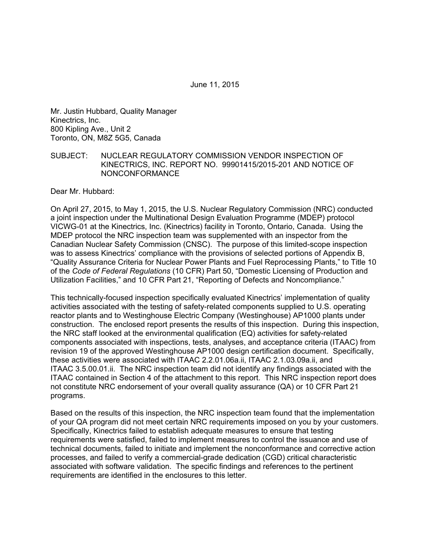June 11, 2015

Mr. Justin Hubbard, Quality Manager Kinectrics, Inc. 800 Kipling Ave., Unit 2 Toronto, ON, M8Z 5G5, Canada

#### SUBJECT: NUCLEAR REGULATORY COMMISSION VENDOR INSPECTION OF KINECTRICS, INC. REPORT NO. 99901415/2015-201 AND NOTICE OF NONCONFORMANCE

Dear Mr. Hubbard:

On April 27, 2015, to May 1, 2015, the U.S. Nuclear Regulatory Commission (NRC) conducted a joint inspection under the Multinational Design Evaluation Programme (MDEP) protocol VICWG-01 at the Kinectrics, Inc. (Kinectrics) facility in Toronto, Ontario, Canada. Using the MDEP protocol the NRC inspection team was supplemented with an inspector from the Canadian Nuclear Safety Commission (CNSC). The purpose of this limited-scope inspection was to assess Kinectrics' compliance with the provisions of selected portions of Appendix B, "Quality Assurance Criteria for Nuclear Power Plants and Fuel Reprocessing Plants," to Title 10 of the *Code of Federal Regulations* (10 CFR) Part 50, "Domestic Licensing of Production and Utilization Facilities," and 10 CFR Part 21, "Reporting of Defects and Noncompliance."

This technically-focused inspection specifically evaluated Kinectrics' implementation of quality activities associated with the testing of safety-related components supplied to U.S. operating reactor plants and to Westinghouse Electric Company (Westinghouse) AP1000 plants under construction. The enclosed report presents the results of this inspection. During this inspection, the NRC staff looked at the environmental qualification (EQ) activities for safety-related components associated with inspections, tests, analyses, and acceptance criteria (ITAAC) from revision 19 of the approved Westinghouse AP1000 design certification document. Specifically, these activities were associated with ITAAC 2.2.01.06a.ii, ITAAC 2.1.03.09a.ii, and ITAAC 3.5.00.01.ii. The NRC inspection team did not identify any findings associated with the ITAAC contained in Section 4 of the attachment to this report. This NRC inspection report does not constitute NRC endorsement of your overall quality assurance (QA) or 10 CFR Part 21 programs.

Based on the results of this inspection, the NRC inspection team found that the implementation of your QA program did not meet certain NRC requirements imposed on you by your customers. Specifically, Kinectrics failed to establish adequate measures to ensure that testing requirements were satisfied, failed to implement measures to control the issuance and use of technical documents, failed to initiate and implement the nonconformance and corrective action processes, and failed to verify a commercial-grade dedication (CGD) critical characteristic associated with software validation. The specific findings and references to the pertinent requirements are identified in the enclosures to this letter.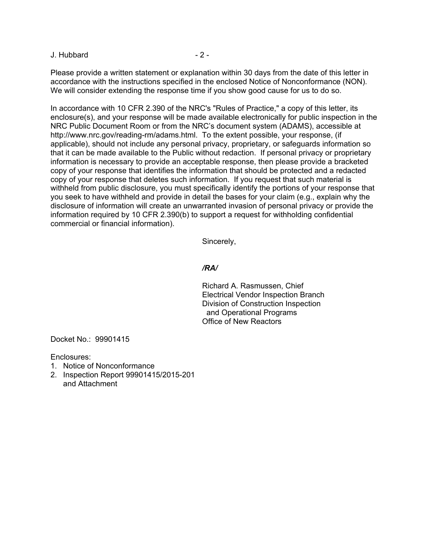J. Hubbard - 2 -

Please provide a written statement or explanation within 30 days from the date of this letter in accordance with the instructions specified in the enclosed Notice of Nonconformance (NON). We will consider extending the response time if you show good cause for us to do so.

In accordance with 10 CFR 2.390 of the NRC's "Rules of Practice," a copy of this letter, its enclosure(s), and your response will be made available electronically for public inspection in the NRC Public Document Room or from the NRC's document system (ADAMS), accessible at http://www.nrc.gov/reading-rm/adams.html. To the extent possible, your response, (if applicable), should not include any personal privacy, proprietary, or safeguards information so that it can be made available to the Public without redaction. If personal privacy or proprietary information is necessary to provide an acceptable response, then please provide a bracketed copy of your response that identifies the information that should be protected and a redacted copy of your response that deletes such information. If you request that such material is withheld from public disclosure, you must specifically identify the portions of your response that you seek to have withheld and provide in detail the bases for your claim (e.g., explain why the disclosure of information will create an unwarranted invasion of personal privacy or provide the information required by 10 CFR 2.390(b) to support a request for withholding confidential commercial or financial information).

Sincerely,

*/RA/* 

Richard A. Rasmussen, Chief Electrical Vendor Inspection Branch Division of Construction Inspection and Operational Programs Office of New Reactors

Docket No.: 99901415

Enclosures:

- 1. Notice of Nonconformance
- 2. Inspection Report 99901415/2015-201 and Attachment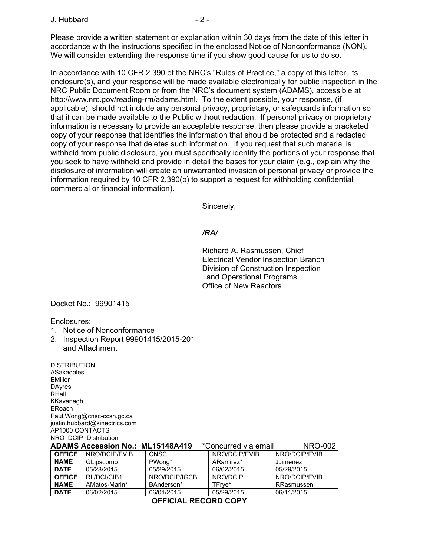#### $J.$  Hubbard  $-2$  -

Please provide a written statement or explanation within 30 days from the date of this letter in accordance with the instructions specified in the enclosed Notice of Nonconformance (NON). We will consider extending the response time if you show good cause for us to do so.

In accordance with 10 CFR 2.390 of the NRC's "Rules of Practice," a copy of this letter, its enclosure(s), and your response will be made available electronically for public inspection in the NRC Public Document Room or from the NRC's document system (ADAMS), accessible at http://www.nrc.gov/reading-rm/adams.html. To the extent possible, your response, (if applicable), should not include any personal privacy, proprietary, or safeguards information so that it can be made available to the Public without redaction. If personal privacy or proprietary information is necessary to provide an acceptable response, then please provide a bracketed copy of your response that identifies the information that should be protected and a redacted copy of your response that deletes such information. If you request that such material is withheld from public disclosure, you must specifically identify the portions of your response that you seek to have withheld and provide in detail the bases for your claim (e.g., explain why the disclosure of information will create an unwarranted invasion of personal privacy or provide the information required by 10 CFR 2.390(b) to support a request for withholding confidential commercial or financial information).

Sincerely,

## */RA/*

Richard A. Rasmussen, Chief Electrical Vendor Inspection Branch Division of Construction Inspection and Operational Programs Office of New Reactors

Docket No.: 99901415

Enclosures:

- 1. Notice of Nonconformance
- 2. Inspection Report 99901415/2015-201 and Attachment

DISTRIBUTION: ASakadales EMiller DAyres RHall KKavanagh ERoach Paul.Wong@cnsc-ccsn.gc.ca justin.hubbard@kinectrics.com AP1000 CONTACTS NRO\_DCIP\_Distribution

|                        | <b>ADAMS Accession No.: ML15148A419</b> |               | *Concurred via email | <b>NRO-002</b>  |  |
|------------------------|-----------------------------------------|---------------|----------------------|-----------------|--|
| <b>OFFICE</b>          | NRO/DCIP/EVIB                           | <b>CNSC</b>   | NRO/DCIP/EVIB        | NRO/DCIP/EVIB   |  |
| <b>NAME</b>            | GLipscomb                               | PWong*        | ARamirez*            | <b>JJimenez</b> |  |
| <b>DATE</b>            | 05/28/2015                              | 05/29/2015    | 06/02/2015           | 05/29/2015      |  |
| <b>OFFICE</b>          | RII/DCI/CIB1                            | NRO/DCIP/IGCB | NRO/DCIP             | NRO/DCIP/EVIB   |  |
| <b>NAME</b>            | AMatos-Marin*                           | BAnderson*    | TFrve*               | RRasmussen      |  |
| <b>DATE</b>            | 06/02/2015                              | 06/01/2015    | 05/29/2015           | 06/11/2015      |  |
| ------ ----<br>------- |                                         |               |                      |                 |  |

**OFFICIAL RECORD COPY**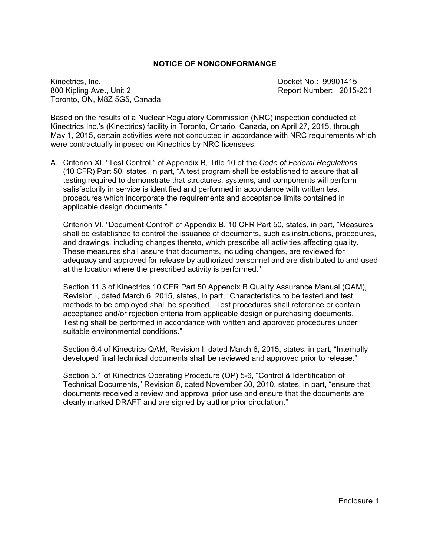#### **NOTICE OF NONCONFORMANCE**

Kinectrics, Inc. Docket No.: 99901415 800 Kipling Ave., Unit 2 **Report Number: 2015-201** Toronto, ON, M8Z 5G5, Canada

Based on the results of a Nuclear Regulatory Commission (NRC) inspection conducted at Kinectrics Inc.'s (Kinectrics) facility in Toronto, Ontario, Canada, on April 27, 2015, through May 1, 2015, certain activities were not conducted in accordance with NRC requirements which were contractually imposed on Kinectrics by NRC licensees:

A. Criterion XI, "Test Control," of Appendix B, Title 10 of the *Code of Federal Regulations* (10 CFR) Part 50, states, in part, "A test program shall be established to assure that all testing required to demonstrate that structures, systems, and components will perform satisfactorily in service is identified and performed in accordance with written test procedures which incorporate the requirements and acceptance limits contained in applicable design documents."

Criterion VI, "Document Control" of Appendix B, 10 CFR Part 50, states, in part, "Measures shall be established to control the issuance of documents, such as instructions, procedures, and drawings, including changes thereto, which prescribe all activities affecting quality. These measures shall assure that documents, including changes, are reviewed for adequacy and approved for release by authorized personnel and are distributed to and used at the location where the prescribed activity is performed."

Section 11.3 of Kinectrics 10 CFR Part 50 Appendix B Quality Assurance Manual (QAM), Revision I, dated March 6, 2015, states, in part, "Characteristics to be tested and test methods to be employed shall be specified. Test procedures shall reference or contain acceptance and/or rejection criteria from applicable design or purchasing documents. Testing shall be performed in accordance with written and approved procedures under suitable environmental conditions."

Section 6.4 of Kinectrics QAM, Revision I, dated March 6, 2015, states, in part, "Internally developed final technical documents shall be reviewed and approved prior to release."

Section 5.1 of Kinectrics Operating Procedure (OP) 5-6, "Control & Identification of Technical Documents," Revision 8, dated November 30, 2010, states, in part, "ensure that documents received a review and approval prior use and ensure that the documents are clearly marked DRAFT and are signed by author prior circulation."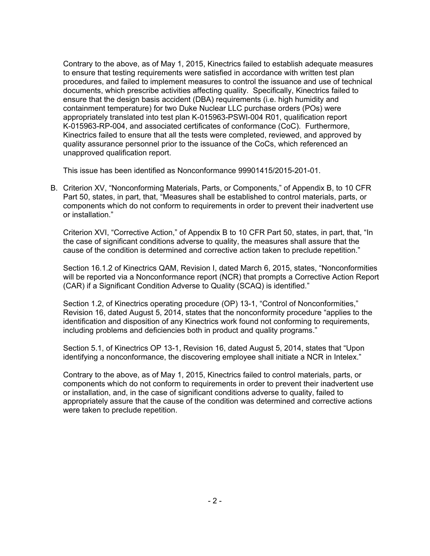Contrary to the above, as of May 1, 2015, Kinectrics failed to establish adequate measures to ensure that testing requirements were satisfied in accordance with written test plan procedures, and failed to implement measures to control the issuance and use of technical documents, which prescribe activities affecting quality. Specifically, Kinectrics failed to ensure that the design basis accident (DBA) requirements (i.e. high humidity and containment temperature) for two Duke Nuclear LLC purchase orders (POs) were appropriately translated into test plan K-015963-PSWI-004 R01, qualification report K-015963-RP-004, and associated certificates of conformance (CoC). Furthermore, Kinectrics failed to ensure that all the tests were completed, reviewed, and approved by quality assurance personnel prior to the issuance of the CoCs, which referenced an unapproved qualification report.

This issue has been identified as Nonconformance 99901415/2015-201-01.

B. Criterion XV, "Nonconforming Materials, Parts, or Components," of Appendix B, to 10 CFR Part 50, states, in part, that, "Measures shall be established to control materials, parts, or components which do not conform to requirements in order to prevent their inadvertent use or installation."

Criterion XVI, "Corrective Action," of Appendix B to 10 CFR Part 50, states, in part, that, "In the case of significant conditions adverse to quality, the measures shall assure that the cause of the condition is determined and corrective action taken to preclude repetition."

Section 16.1.2 of Kinectrics QAM, Revision I, dated March 6, 2015, states, "Nonconformities will be reported via a Nonconformance report (NCR) that prompts a Corrective Action Report (CAR) if a Significant Condition Adverse to Quality (SCAQ) is identified."

Section 1.2, of Kinectrics operating procedure (OP) 13-1, "Control of Nonconformities," Revision 16, dated August 5, 2014, states that the nonconformity procedure "applies to the identification and disposition of any Kinectrics work found not conforming to requirements, including problems and deficiencies both in product and quality programs."

Section 5.1, of Kinectrics OP 13-1, Revision 16, dated August 5, 2014, states that "Upon identifying a nonconformance, the discovering employee shall initiate a NCR in Intelex."

Contrary to the above, as of May 1, 2015, Kinectrics failed to control materials, parts, or components which do not conform to requirements in order to prevent their inadvertent use or installation, and, in the case of significant conditions adverse to quality, failed to appropriately assure that the cause of the condition was determined and corrective actions were taken to preclude repetition.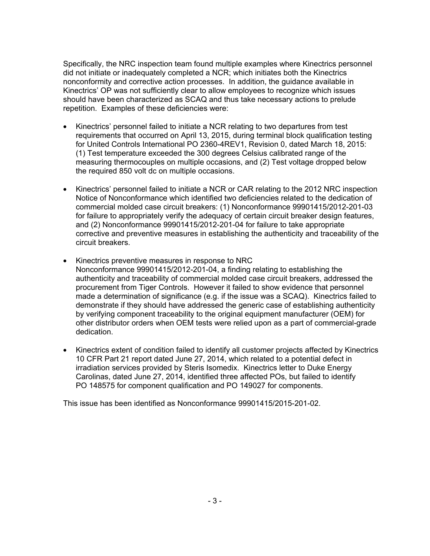Specifically, the NRC inspection team found multiple examples where Kinectrics personnel did not initiate or inadequately completed a NCR; which initiates both the Kinectrics nonconformity and corrective action processes. In addition, the guidance available in Kinectrics' OP was not sufficiently clear to allow employees to recognize which issues should have been characterized as SCAQ and thus take necessary actions to prelude repetition. Examples of these deficiencies were:

- Kinectrics' personnel failed to initiate a NCR relating to two departures from test requirements that occurred on April 13, 2015, during terminal block qualification testing for United Controls International PO 2360-4REV1, Revision 0, dated March 18, 2015: (1) Test temperature exceeded the 300 degrees Celsius calibrated range of the measuring thermocouples on multiple occasions, and (2) Test voltage dropped below the required 850 volt dc on multiple occasions.
- Kinectrics' personnel failed to initiate a NCR or CAR relating to the 2012 NRC inspection Notice of Nonconformance which identified two deficiencies related to the dedication of commercial molded case circuit breakers: (1) Nonconformance 99901415/2012-201-03 for failure to appropriately verify the adequacy of certain circuit breaker design features, and (2) Nonconformance 99901415/2012-201-04 for failure to take appropriate corrective and preventive measures in establishing the authenticity and traceability of the circuit breakers.
- Kinectrics preventive measures in response to NRC Nonconformance 99901415/2012-201-04, a finding relating to establishing the authenticity and traceability of commercial molded case circuit breakers, addressed the procurement from Tiger Controls. However it failed to show evidence that personnel made a determination of significance (e.g. if the issue was a SCAQ). Kinectrics failed to demonstrate if they should have addressed the generic case of establishing authenticity by verifying component traceability to the original equipment manufacturer (OEM) for other distributor orders when OEM tests were relied upon as a part of commercial-grade dedication.
- Kinectrics extent of condition failed to identify all customer projects affected by Kinectrics 10 CFR Part 21 report dated June 27, 2014, which related to a potential defect in irradiation services provided by Steris Isomedix. Kinectrics letter to Duke Energy Carolinas, dated June 27, 2014, identified three affected POs, but failed to identify PO 148575 for component qualification and PO 149027 for components.

This issue has been identified as Nonconformance 99901415/2015-201-02.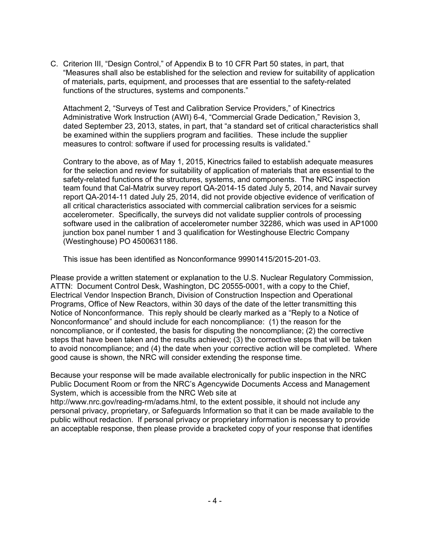C. Criterion III, "Design Control," of Appendix B to 10 CFR Part 50 states, in part, that "Measures shall also be established for the selection and review for suitability of application of materials, parts, equipment, and processes that are essential to the safety-related functions of the structures, systems and components."

Attachment 2, "Surveys of Test and Calibration Service Providers," of Kinectrics Administrative Work Instruction (AWI) 6-4, "Commercial Grade Dedication," Revision 3, dated September 23, 2013, states, in part, that "a standard set of critical characteristics shall be examined within the suppliers program and facilities. These include the supplier measures to control: software if used for processing results is validated."

Contrary to the above, as of May 1, 2015, Kinectrics failed to establish adequate measures for the selection and review for suitability of application of materials that are essential to the safety-related functions of the structures, systems, and components. The NRC inspection team found that Cal-Matrix survey report QA-2014-15 dated July 5, 2014, and Navair survey report QA-2014-11 dated July 25, 2014, did not provide objective evidence of verification of all critical characteristics associated with commercial calibration services for a seismic accelerometer. Specifically, the surveys did not validate supplier controls of processing software used in the calibration of accelerometer number 32286, which was used in AP1000 junction box panel number 1 and 3 qualification for Westinghouse Electric Company (Westinghouse) PO 4500631186.

This issue has been identified as Nonconformance 99901415/2015-201-03.

Please provide a written statement or explanation to the U.S. Nuclear Regulatory Commission, ATTN: Document Control Desk, Washington, DC 20555-0001, with a copy to the Chief, Electrical Vendor Inspection Branch, Division of Construction Inspection and Operational Programs, Office of New Reactors, within 30 days of the date of the letter transmitting this Notice of Nonconformance. This reply should be clearly marked as a "Reply to a Notice of Nonconformance" and should include for each noncompliance: (1) the reason for the noncompliance, or if contested, the basis for disputing the noncompliance; (2) the corrective steps that have been taken and the results achieved; (3) the corrective steps that will be taken to avoid noncompliance; and (4) the date when your corrective action will be completed. Where good cause is shown, the NRC will consider extending the response time.

Because your response will be made available electronically for public inspection in the NRC Public Document Room or from the NRC's Agencywide Documents Access and Management System, which is accessible from the NRC Web site at

http://www.nrc.gov/reading-rm/adams.html, to the extent possible, it should not include any personal privacy, proprietary, or Safeguards Information so that it can be made available to the public without redaction. If personal privacy or proprietary information is necessary to provide an acceptable response, then please provide a bracketed copy of your response that identifies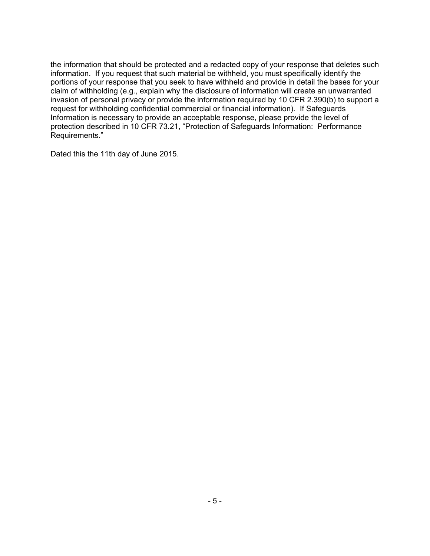the information that should be protected and a redacted copy of your response that deletes such information. If you request that such material be withheld, you must specifically identify the portions of your response that you seek to have withheld and provide in detail the bases for your claim of withholding (e.g., explain why the disclosure of information will create an unwarranted invasion of personal privacy or provide the information required by 10 CFR 2.390(b) to support a request for withholding confidential commercial or financial information). If Safeguards Information is necessary to provide an acceptable response, please provide the level of protection described in 10 CFR 73.21, "Protection of Safeguards Information: Performance Requirements."

Dated this the 11th day of June 2015.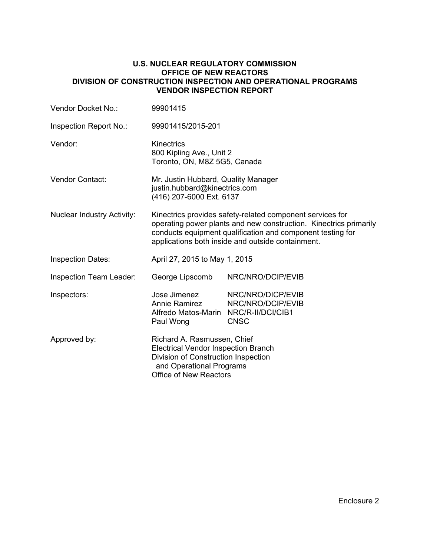#### **U.S. NUCLEAR REGULATORY COMMISSION OFFICE OF NEW REACTORS DIVISION OF CONSTRUCTION INSPECTION AND OPERATIONAL PROGRAMS VENDOR INSPECTION REPORT**

| Vendor Docket No.:                | 99901415                                                                                                                                                                                                                                          |                                                       |  |
|-----------------------------------|---------------------------------------------------------------------------------------------------------------------------------------------------------------------------------------------------------------------------------------------------|-------------------------------------------------------|--|
| Inspection Report No.:            | 99901415/2015-201                                                                                                                                                                                                                                 |                                                       |  |
| Vendor:                           | Kinectrics<br>800 Kipling Ave., Unit 2<br>Toronto, ON, M8Z 5G5, Canada                                                                                                                                                                            |                                                       |  |
| <b>Vendor Contact:</b>            | Mr. Justin Hubbard, Quality Manager<br>justin.hubbard@kinectrics.com<br>(416) 207-6000 Ext. 6137                                                                                                                                                  |                                                       |  |
| <b>Nuclear Industry Activity:</b> | Kinectrics provides safety-related component services for<br>operating power plants and new construction. Kinectrics primarily<br>conducts equipment qualification and component testing for<br>applications both inside and outside containment. |                                                       |  |
| <b>Inspection Dates:</b>          | April 27, 2015 to May 1, 2015                                                                                                                                                                                                                     |                                                       |  |
| <b>Inspection Team Leader:</b>    | George Lipscomb                                                                                                                                                                                                                                   | NRC/NRO/DCIP/EVIB                                     |  |
| Inspectors:                       | Jose Jimenez<br>Annie Ramirez<br>Alfredo Matos-Marin NRC/R-II/DCI/CIB1<br>Paul Wong                                                                                                                                                               | NRC/NRO/DICP/EVIB<br>NRC/NRO/DCIP/EVIB<br><b>CNSC</b> |  |
| Approved by:                      | Richard A. Rasmussen, Chief<br><b>Electrical Vendor Inspection Branch</b><br>Division of Construction Inspection<br>and Operational Programs<br>Office of New Reactors                                                                            |                                                       |  |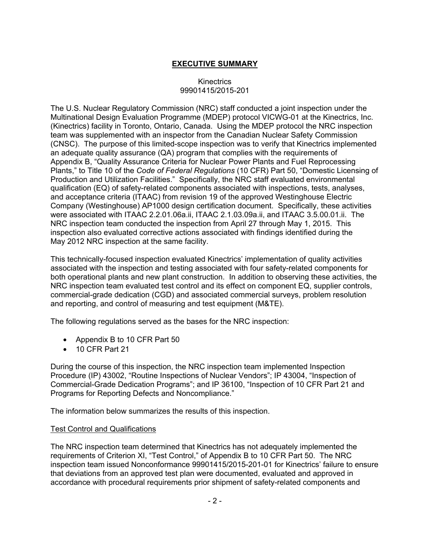# **EXECUTIVE SUMMARY**

### Kinectrics 99901415/2015-201

The U.S. Nuclear Regulatory Commission (NRC) staff conducted a joint inspection under the Multinational Design Evaluation Programme (MDEP) protocol VICWG-01 at the Kinectrics, Inc. (Kinectrics) facility in Toronto, Ontario, Canada. Using the MDEP protocol the NRC inspection team was supplemented with an inspector from the Canadian Nuclear Safety Commission (CNSC). The purpose of this limited-scope inspection was to verify that Kinectrics implemented an adequate quality assurance (QA) program that complies with the requirements of Appendix B, "Quality Assurance Criteria for Nuclear Power Plants and Fuel Reprocessing Plants," to Title 10 of the *Code of Federal Regulations* (10 CFR) Part 50, "Domestic Licensing of Production and Utilization Facilities." Specifically, the NRC staff evaluated environmental qualification (EQ) of safety-related components associated with inspections, tests, analyses, and acceptance criteria (ITAAC) from revision 19 of the approved Westinghouse Electric Company (Westinghouse) AP1000 design certification document. Specifically, these activities were associated with ITAAC 2.2.01.06a.ii, ITAAC 2.1.03.09a.ii, and ITAAC 3.5.00.01.ii. The NRC inspection team conducted the inspection from April 27 through May 1, 2015. This inspection also evaluated corrective actions associated with findings identified during the May 2012 NRC inspection at the same facility.

This technically-focused inspection evaluated Kinectrics' implementation of quality activities associated with the inspection and testing associated with four safety-related components for both operational plants and new plant construction. In addition to observing these activities, the NRC inspection team evaluated test control and its effect on component EQ, supplier controls, commercial-grade dedication (CGD) and associated commercial surveys, problem resolution and reporting, and control of measuring and test equipment (M&TE).

The following regulations served as the bases for the NRC inspection:

- Appendix B to 10 CFR Part 50
- 10 CFR Part 21

During the course of this inspection, the NRC inspection team implemented Inspection Procedure (IP) 43002, "Routine Inspections of Nuclear Vendors"; IP 43004, "Inspection of Commercial-Grade Dedication Programs"; and IP 36100, "Inspection of 10 CFR Part 21 and Programs for Reporting Defects and Noncompliance."

The information below summarizes the results of this inspection.

## Test Control and Qualifications

The NRC inspection team determined that Kinectrics has not adequately implemented the requirements of Criterion XI, "Test Control," of Appendix B to 10 CFR Part 50. The NRC inspection team issued Nonconformance 99901415/2015-201-01 for Kinectrics' failure to ensure that deviations from an approved test plan were documented, evaluated and approved in accordance with procedural requirements prior shipment of safety-related components and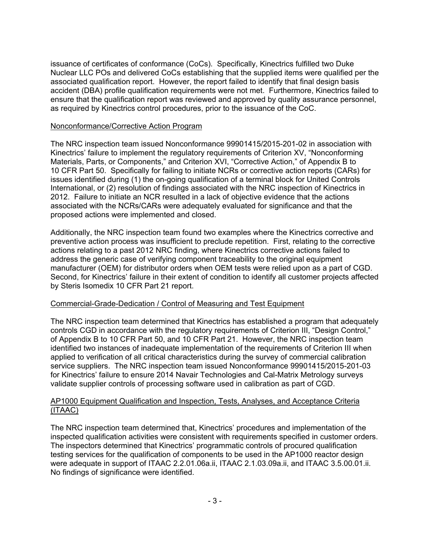issuance of certificates of conformance (CoCs). Specifically, Kinectrics fulfilled two Duke Nuclear LLC POs and delivered CoCs establishing that the supplied items were qualified per the associated qualification report. However, the report failed to identify that final design basis accident (DBA) profile qualification requirements were not met. Furthermore, Kinectrics failed to ensure that the qualification report was reviewed and approved by quality assurance personnel, as required by Kinectrics control procedures, prior to the issuance of the CoC.

### Nonconformance/Corrective Action Program

The NRC inspection team issued Nonconformance 99901415/2015-201-02 in association with Kinectrics' failure to implement the regulatory requirements of Criterion XV, "Nonconforming Materials, Parts, or Components," and Criterion XVI, "Corrective Action," of Appendix B to 10 CFR Part 50. Specifically for failing to initiate NCRs or corrective action reports (CARs) for issues identified during (1) the on-going qualification of a terminal block for United Controls International, or (2) resolution of findings associated with the NRC inspection of Kinectrics in 2012. Failure to initiate an NCR resulted in a lack of objective evidence that the actions associated with the NCRs/CARs were adequately evaluated for significance and that the proposed actions were implemented and closed.

Additionally, the NRC inspection team found two examples where the Kinectrics corrective and preventive action process was insufficient to preclude repetition. First, relating to the corrective actions relating to a past 2012 NRC finding, where Kinectrics corrective actions failed to address the generic case of verifying component traceability to the original equipment manufacturer (OEM) for distributor orders when OEM tests were relied upon as a part of CGD. Second, for Kinectrics' failure in their extent of condition to identify all customer projects affected by Steris Isomedix 10 CFR Part 21 report.

## Commercial-Grade-Dedication / Control of Measuring and Test Equipment

The NRC inspection team determined that Kinectrics has established a program that adequately controls CGD in accordance with the regulatory requirements of Criterion III, "Design Control," of Appendix B to 10 CFR Part 50, and 10 CFR Part 21. However, the NRC inspection team identified two instances of inadequate implementation of the requirements of Criterion III when applied to verification of all critical characteristics during the survey of commercial calibration service suppliers. The NRC inspection team issued Nonconformance 99901415/2015-201-03 for Kinectrics' failure to ensure 2014 Navair Technologies and Cal-Matrix Metrology surveys validate supplier controls of processing software used in calibration as part of CGD.

## AP1000 Equipment Qualification and Inspection, Tests, Analyses, and Acceptance Criteria (ITAAC)

The NRC inspection team determined that, Kinectrics' procedures and implementation of the inspected qualification activities were consistent with requirements specified in customer orders. The inspectors determined that Kinectrics' programmatic controls of procured qualification testing services for the qualification of components to be used in the AP1000 reactor design were adequate in support of ITAAC 2.2.01.06a.ii, ITAAC 2.1.03.09a.ii, and ITAAC 3.5.00.01.ii. No findings of significance were identified.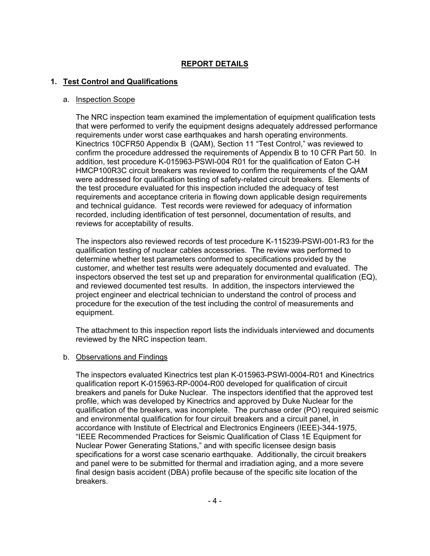# **REPORT DETAILS**

## **1. Test Control and Qualifications**

#### a. Inspection Scope

The NRC inspection team examined the implementation of equipment qualification tests that were performed to verify the equipment designs adequately addressed performance requirements under worst case earthquakes and harsh operating environments. Kinectrics 10CFR50 Appendix B (QAM), Section 11 "Test Control," was reviewed to confirm the procedure addressed the requirements of Appendix B to 10 CFR Part 50. In addition, test procedure K-015963-PSWI-004 R01 for the qualification of Eaton C-H HMCP100R3C circuit breakers was reviewed to confirm the requirements of the QAM were addressed for qualification testing of safety-related circuit breakers. Elements of the test procedure evaluated for this inspection included the adequacy of test requirements and acceptance criteria in flowing down applicable design requirements and technical guidance. Test records were reviewed for adequacy of information recorded, including identification of test personnel, documentation of results, and reviews for acceptability of results.

The inspectors also reviewed records of test procedure K-115239-PSWI-001-R3 for the qualification testing of nuclear cables accessories. The review was performed to determine whether test parameters conformed to specifications provided by the customer, and whether test results were adequately documented and evaluated. The inspectors observed the test set up and preparation for environmental qualification (EQ), and reviewed documented test results. In addition, the inspectors interviewed the project engineer and electrical technician to understand the control of process and procedure for the execution of the test including the control of measurements and equipment.

The attachment to this inspection report lists the individuals interviewed and documents reviewed by the NRC inspection team.

#### b. Observations and Findings

The inspectors evaluated Kinectrics test plan K-015963-PSWI-0004-R01 and Kinectrics qualification report K-015963-RP-0004-R00 developed for qualification of circuit breakers and panels for Duke Nuclear. The inspectors identified that the approved test profile, which was developed by Kinectrics and approved by Duke Nuclear for the qualification of the breakers, was incomplete. The purchase order (PO) required seismic and environmental qualification for four circuit breakers and a circuit panel, in accordance with Institute of Electrical and Electronics Engineers (IEEE)-344-1975, "IEEE Recommended Practices for Seismic Qualification of Class 1E Equipment for Nuclear Power Generating Stations," and with specific licensee design basis specifications for a worst case scenario earthquake. Additionally, the circuit breakers and panel were to be submitted for thermal and irradiation aging, and a more severe final design basis accident (DBA) profile because of the specific site location of the breakers.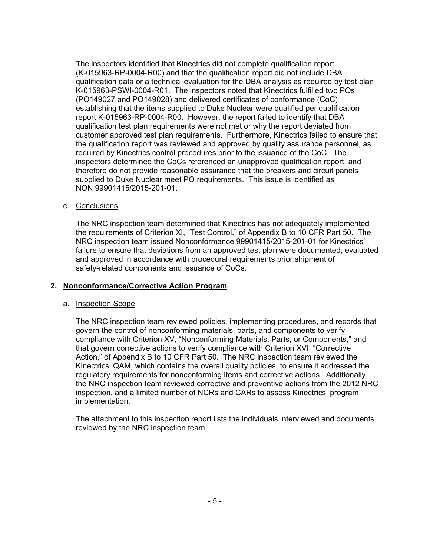The inspectors identified that Kinectrics did not complete qualification report (K-015963-RP-0004-R00) and that the qualification report did not include DBA qualification data or a technical evaluation for the DBA analysis as required by test plan K-015963-PSWI-0004-R01. The inspectors noted that Kinectrics fulfilled two POs (PO149027 and PO149028) and delivered certificates of conformance (CoC) establishing that the items supplied to Duke Nuclear were qualified per qualification report K-015963-RP-0004-R00. However, the report failed to identify that DBA qualification test plan requirements were not met or why the report deviated from customer approved test plan requirements. Furthermore, Kinectrics failed to ensure that the qualification report was reviewed and approved by quality assurance personnel, as required by Kinectrics control procedures prior to the issuance of the CoC. The inspectors determined the CoCs referenced an unapproved qualification report, and therefore do not provide reasonable assurance that the breakers and circuit panels supplied to Duke Nuclear meet PO requirements. This issue is identified as NON 99901415/2015-201-01.

c. Conclusions

The NRC inspection team determined that Kinectrics has not adequately implemented the requirements of Criterion XI, "Test Control," of Appendix B to 10 CFR Part 50. The NRC inspection team issued Nonconformance 99901415/2015-201-01 for Kinectrics' failure to ensure that deviations from an approved test plan were documented, evaluated and approved in accordance with procedural requirements prior shipment of safety-related components and issuance of CoCs.

## **2. Nonconformance/Corrective Action Program**

## a. Inspection Scope

The NRC inspection team reviewed policies, implementing procedures, and records that govern the control of nonconforming materials, parts, and components to verify compliance with Criterion XV, "Nonconforming Materials, Parts, or Components," and that govern corrective actions to verify compliance with Criterion XVI, "Corrective Action," of Appendix B to 10 CFR Part 50. The NRC inspection team reviewed the Kinectrics' QAM, which contains the overall quality policies, to ensure it addressed the regulatory requirements for nonconforming items and corrective actions. Additionally, the NRC inspection team reviewed corrective and preventive actions from the 2012 NRC inspection, and a limited number of NCRs and CARs to assess Kinectrics' program implementation.

The attachment to this inspection report lists the individuals interviewed and documents reviewed by the NRC inspection team.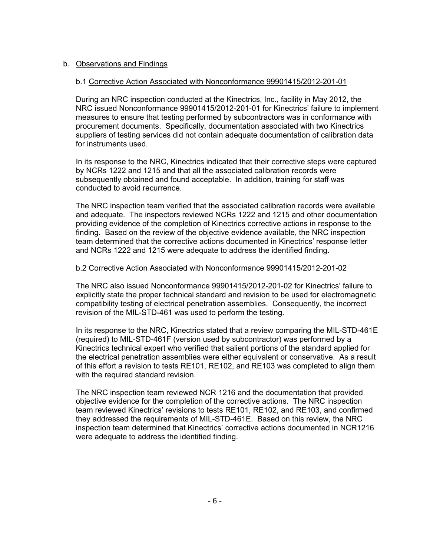# b. Observations and Findings

## b.1 Corrective Action Associated with Nonconformance 99901415/2012-201-01

During an NRC inspection conducted at the Kinectrics, Inc., facility in May 2012, the NRC issued Nonconformance 99901415/2012-201-01 for Kinectrics' failure to implement measures to ensure that testing performed by subcontractors was in conformance with procurement documents. Specifically, documentation associated with two Kinectrics suppliers of testing services did not contain adequate documentation of calibration data for instruments used.

In its response to the NRC, Kinectrics indicated that their corrective steps were captured by NCRs 1222 and 1215 and that all the associated calibration records were subsequently obtained and found acceptable. In addition, training for staff was conducted to avoid recurrence.

The NRC inspection team verified that the associated calibration records were available and adequate. The inspectors reviewed NCRs 1222 and 1215 and other documentation providing evidence of the completion of Kinectrics corrective actions in response to the finding. Based on the review of the objective evidence available, the NRC inspection team determined that the corrective actions documented in Kinectrics' response letter and NCRs 1222 and 1215 were adequate to address the identified finding.

## b.2 Corrective Action Associated with Nonconformance 99901415/2012-201-02

The NRC also issued Nonconformance 99901415/2012-201-02 for Kinectrics' failure to explicitly state the proper technical standard and revision to be used for electromagnetic compatibility testing of electrical penetration assemblies. Consequently, the incorrect revision of the MIL-STD-461 was used to perform the testing.

In its response to the NRC, Kinectrics stated that a review comparing the MIL-STD-461E (required) to MIL-STD-461F (version used by subcontractor) was performed by a Kinectrics technical expert who verified that salient portions of the standard applied for the electrical penetration assemblies were either equivalent or conservative. As a result of this effort a revision to tests RE101, RE102, and RE103 was completed to align them with the required standard revision.

The NRC inspection team reviewed NCR 1216 and the documentation that provided objective evidence for the completion of the corrective actions. The NRC inspection team reviewed Kinectrics' revisions to tests RE101, RE102, and RE103, and confirmed they addressed the requirements of MIL-STD-461E. Based on this review, the NRC inspection team determined that Kinectrics' corrective actions documented in NCR1216 were adequate to address the identified finding.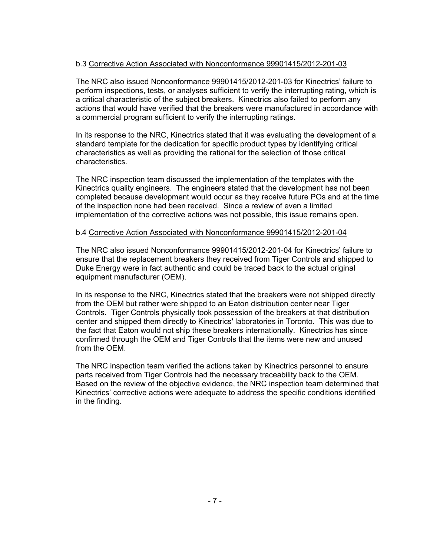# b.3 Corrective Action Associated with Nonconformance 99901415/2012-201-03

The NRC also issued Nonconformance 99901415/2012-201-03 for Kinectrics' failure to perform inspections, tests, or analyses sufficient to verify the interrupting rating, which is a critical characteristic of the subject breakers. Kinectrics also failed to perform any actions that would have verified that the breakers were manufactured in accordance with a commercial program sufficient to verify the interrupting ratings.

In its response to the NRC, Kinectrics stated that it was evaluating the development of a standard template for the dedication for specific product types by identifying critical characteristics as well as providing the rational for the selection of those critical characteristics.

The NRC inspection team discussed the implementation of the templates with the Kinectrics quality engineers. The engineers stated that the development has not been completed because development would occur as they receive future POs and at the time of the inspection none had been received. Since a review of even a limited implementation of the corrective actions was not possible, this issue remains open.

### b.4 Corrective Action Associated with Nonconformance 99901415/2012-201-04

The NRC also issued Nonconformance 99901415/2012-201-04 for Kinectrics' failure to ensure that the replacement breakers they received from Tiger Controls and shipped to Duke Energy were in fact authentic and could be traced back to the actual original equipment manufacturer (OEM).

In its response to the NRC, Kinectrics stated that the breakers were not shipped directly from the OEM but rather were shipped to an Eaton distribution center near Tiger Controls. Tiger Controls physically took possession of the breakers at that distribution center and shipped them directly to Kinectrics' laboratories in Toronto. This was due to the fact that Eaton would not ship these breakers internationally. Kinectrics has since confirmed through the OEM and Tiger Controls that the items were new and unused from the OEM.

The NRC inspection team verified the actions taken by Kinectrics personnel to ensure parts received from Tiger Controls had the necessary traceability back to the OEM. Based on the review of the objective evidence, the NRC inspection team determined that Kinectrics' corrective actions were adequate to address the specific conditions identified in the finding.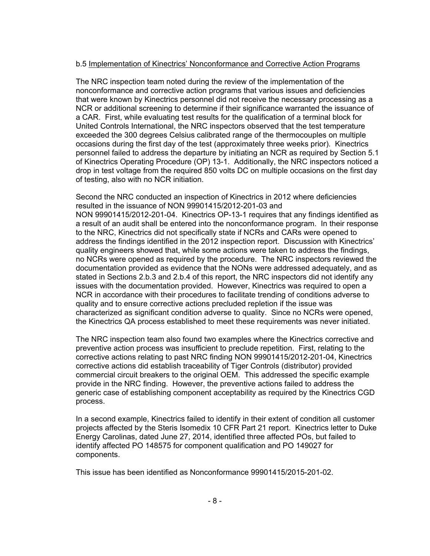# b.5 Implementation of Kinectrics' Nonconformance and Corrective Action Programs

The NRC inspection team noted during the review of the implementation of the nonconformance and corrective action programs that various issues and deficiencies that were known by Kinectrics personnel did not receive the necessary processing as a NCR or additional screening to determine if their significance warranted the issuance of a CAR. First, while evaluating test results for the qualification of a terminal block for United Controls International, the NRC inspectors observed that the test temperature exceeded the 300 degrees Celsius calibrated range of the thermocouples on multiple occasions during the first day of the test (approximately three weeks prior). Kinectrics personnel failed to address the departure by initiating an NCR as required by Section 5.1 of Kinectrics Operating Procedure (OP) 13-1. Additionally, the NRC inspectors noticed a drop in test voltage from the required 850 volts DC on multiple occasions on the first day of testing, also with no NCR initiation.

Second the NRC conducted an inspection of Kinectrics in 2012 where deficiencies resulted in the issuance of NON 99901415/2012-201-03 and NON 99901415/2012-201-04. Kinectrics OP-13-1 requires that any findings identified as a result of an audit shall be entered into the nonconformance program. In their response to the NRC, Kinectrics did not specifically state if NCRs and CARs were opened to address the findings identified in the 2012 inspection report. Discussion with Kinectrics' quality engineers showed that, while some actions were taken to address the findings, no NCRs were opened as required by the procedure. The NRC inspectors reviewed the documentation provided as evidence that the NONs were addressed adequately, and as stated in Sections 2.b.3 and 2.b.4 of this report, the NRC inspectors did not identify any issues with the documentation provided. However, Kinectrics was required to open a NCR in accordance with their procedures to facilitate trending of conditions adverse to quality and to ensure corrective actions precluded repletion if the issue was characterized as significant condition adverse to quality. Since no NCRs were opened, the Kinectrics QA process established to meet these requirements was never initiated.

The NRC inspection team also found two examples where the Kinectrics corrective and preventive action process was insufficient to preclude repetition. First, relating to the corrective actions relating to past NRC finding NON 99901415/2012-201-04, Kinectrics corrective actions did establish traceability of Tiger Controls (distributor) provided commercial circuit breakers to the original OEM. This addressed the specific example provide in the NRC finding. However, the preventive actions failed to address the generic case of establishing component acceptability as required by the Kinectrics CGD process.

In a second example, Kinectrics failed to identify in their extent of condition all customer projects affected by the Steris Isomedix 10 CFR Part 21 report. Kinectrics letter to Duke Energy Carolinas, dated June 27, 2014, identified three affected POs, but failed to identify affected PO 148575 for component qualification and PO 149027 for components.

This issue has been identified as Nonconformance 99901415/2015-201-02.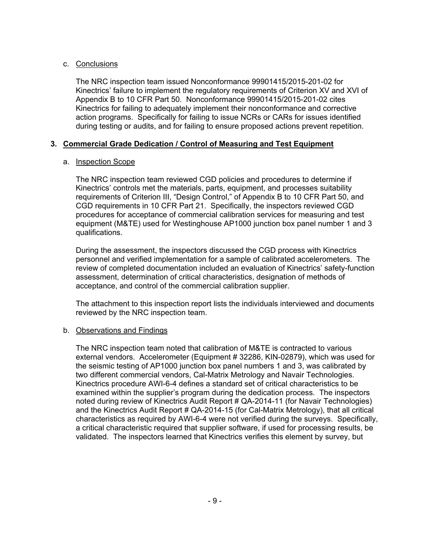# c. Conclusions

The NRC inspection team issued Nonconformance 99901415/2015-201-02 for Kinectrics' failure to implement the regulatory requirements of Criterion XV and XVI of Appendix B to 10 CFR Part 50. Nonconformance 99901415/2015-201-02 cites Kinectrics for failing to adequately implement their nonconformance and corrective action programs. Specifically for failing to issue NCRs or CARs for issues identified during testing or audits, and for failing to ensure proposed actions prevent repetition.

# **3. Commercial Grade Dedication / Control of Measuring and Test Equipment**

# a. Inspection Scope

The NRC inspection team reviewed CGD policies and procedures to determine if Kinectrics' controls met the materials, parts, equipment, and processes suitability requirements of Criterion III, "Design Control," of Appendix B to 10 CFR Part 50, and CGD requirements in 10 CFR Part 21. Specifically, the inspectors reviewed CGD procedures for acceptance of commercial calibration services for measuring and test equipment (M&TE) used for Westinghouse AP1000 junction box panel number 1 and 3 qualifications.

During the assessment, the inspectors discussed the CGD process with Kinectrics personnel and verified implementation for a sample of calibrated accelerometers. The review of completed documentation included an evaluation of Kinectrics' safety-function assessment, determination of critical characteristics, designation of methods of acceptance, and control of the commercial calibration supplier.

The attachment to this inspection report lists the individuals interviewed and documents reviewed by the NRC inspection team.

# b. Observations and Findings

The NRC inspection team noted that calibration of M&TE is contracted to various external vendors. Accelerometer (Equipment # 32286, KIN-02879), which was used for the seismic testing of AP1000 junction box panel numbers 1 and 3, was calibrated by two different commercial vendors, Cal-Matrix Metrology and Navair Technologies. Kinectrics procedure AWI-6-4 defines a standard set of critical characteristics to be examined within the supplier's program during the dedication process. The inspectors noted during review of Kinectrics Audit Report # QA-2014-11 (for Navair Technologies) and the Kinectrics Audit Report # QA-2014-15 (for Cal-Matrix Metrology), that all critical characteristics as required by AWI-6-4 were not verified during the surveys. Specifically, a critical characteristic required that supplier software, if used for processing results, be validated. The inspectors learned that Kinectrics verifies this element by survey, but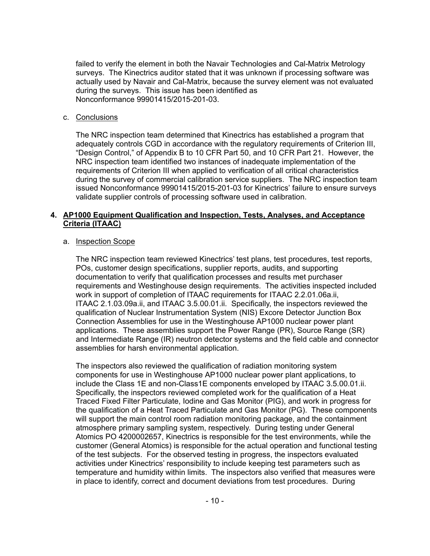failed to verify the element in both the Navair Technologies and Cal-Matrix Metrology surveys. The Kinectrics auditor stated that it was unknown if processing software was actually used by Navair and Cal-Matrix, because the survey element was not evaluated during the surveys. This issue has been identified as Nonconformance 99901415/2015-201-03.

### c. Conclusions

The NRC inspection team determined that Kinectrics has established a program that adequately controls CGD in accordance with the regulatory requirements of Criterion III, "Design Control," of Appendix B to 10 CFR Part 50, and 10 CFR Part 21. However, the NRC inspection team identified two instances of inadequate implementation of the requirements of Criterion III when applied to verification of all critical characteristics during the survey of commercial calibration service suppliers. The NRC inspection team issued Nonconformance 99901415/2015-201-03 for Kinectrics' failure to ensure surveys validate supplier controls of processing software used in calibration.

# **4. AP1000 Equipment Qualification and Inspection, Tests, Analyses, and Acceptance Criteria (ITAAC)**

### a. Inspection Scope

The NRC inspection team reviewed Kinectrics' test plans, test procedures, test reports, POs, customer design specifications, supplier reports, audits, and supporting documentation to verify that qualification processes and results met purchaser requirements and Westinghouse design requirements. The activities inspected included work in support of completion of ITAAC requirements for ITAAC 2.2.01.06a.ii, ITAAC 2.1.03.09a.ii, and ITAAC 3.5.00.01.ii. Specifically, the inspectors reviewed the qualification of Nuclear Instrumentation System (NIS) Excore Detector Junction Box Connection Assemblies for use in the Westinghouse AP1000 nuclear power plant applications. These assemblies support the Power Range (PR), Source Range (SR) and Intermediate Range (IR) neutron detector systems and the field cable and connector assemblies for harsh environmental application.

The inspectors also reviewed the qualification of radiation monitoring system components for use in Westinghouse AP1000 nuclear power plant applications, to include the Class 1E and non-Class1E components enveloped by ITAAC 3.5.00.01.ii. Specifically, the inspectors reviewed completed work for the qualification of a Heat Traced Fixed Filter Particulate, Iodine and Gas Monitor (PIG), and work in progress for the qualification of a Heat Traced Particulate and Gas Monitor (PG). These components will support the main control room radiation monitoring package, and the containment atmosphere primary sampling system, respectively. During testing under General Atomics PO 4200002657, Kinectrics is responsible for the test environments, while the customer (General Atomics) is responsible for the actual operation and functional testing of the test subjects. For the observed testing in progress, the inspectors evaluated activities under Kinectrics' responsibility to include keeping test parameters such as temperature and humidity within limits. The inspectors also verified that measures were in place to identify, correct and document deviations from test procedures. During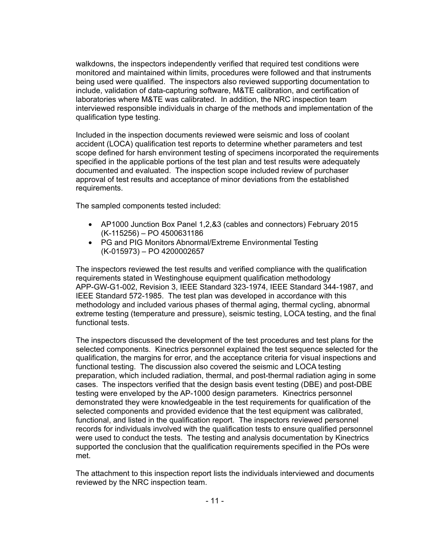walkdowns, the inspectors independently verified that required test conditions were monitored and maintained within limits, procedures were followed and that instruments being used were qualified. The inspectors also reviewed supporting documentation to include, validation of data-capturing software, M&TE calibration, and certification of laboratories where M&TE was calibrated. In addition, the NRC inspection team interviewed responsible individuals in charge of the methods and implementation of the qualification type testing.

Included in the inspection documents reviewed were seismic and loss of coolant accident (LOCA) qualification test reports to determine whether parameters and test scope defined for harsh environment testing of specimens incorporated the requirements specified in the applicable portions of the test plan and test results were adequately documented and evaluated. The inspection scope included review of purchaser approval of test results and acceptance of minor deviations from the established requirements.

The sampled components tested included:

- AP1000 Junction Box Panel 1,2,&3 (cables and connectors) February 2015 (K-115256) – PO 4500631186
- PG and PIG Monitors Abnormal/Extreme Environmental Testing (K-015973) – PO 4200002657

The inspectors reviewed the test results and verified compliance with the qualification requirements stated in Westinghouse equipment qualification methodology APP-GW-G1-002, Revision 3, IEEE Standard 323-1974, IEEE Standard 344-1987, and IEEE Standard 572-1985. The test plan was developed in accordance with this methodology and included various phases of thermal aging, thermal cycling, abnormal extreme testing (temperature and pressure), seismic testing, LOCA testing, and the final functional tests.

The inspectors discussed the development of the test procedures and test plans for the selected components. Kinectrics personnel explained the test sequence selected for the qualification, the margins for error, and the acceptance criteria for visual inspections and functional testing. The discussion also covered the seismic and LOCA testing preparation, which included radiation, thermal, and post-thermal radiation aging in some cases. The inspectors verified that the design basis event testing (DBE) and post-DBE testing were enveloped by the AP-1000 design parameters. Kinectrics personnel demonstrated they were knowledgeable in the test requirements for qualification of the selected components and provided evidence that the test equipment was calibrated, functional, and listed in the qualification report. The inspectors reviewed personnel records for individuals involved with the qualification tests to ensure qualified personnel were used to conduct the tests. The testing and analysis documentation by Kinectrics supported the conclusion that the qualification requirements specified in the POs were met.

The attachment to this inspection report lists the individuals interviewed and documents reviewed by the NRC inspection team.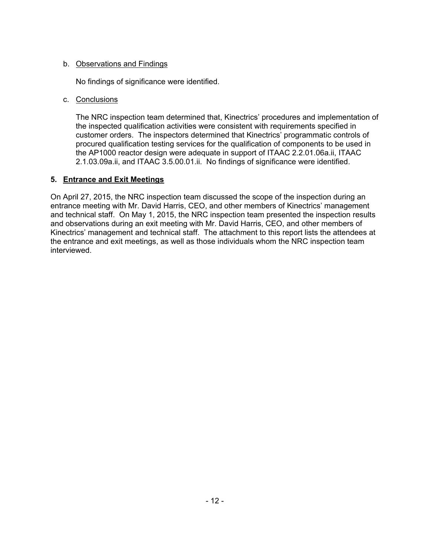# b. Observations and Findings

No findings of significance were identified.

# c. Conclusions

The NRC inspection team determined that, Kinectrics' procedures and implementation of the inspected qualification activities were consistent with requirements specified in customer orders. The inspectors determined that Kinectrics' programmatic controls of procured qualification testing services for the qualification of components to be used in the AP1000 reactor design were adequate in support of ITAAC 2.2.01.06a.ii, ITAAC 2.1.03.09a.ii, and ITAAC 3.5.00.01.ii. No findings of significance were identified.

# **5. Entrance and Exit Meetings**

On April 27, 2015, the NRC inspection team discussed the scope of the inspection during an entrance meeting with Mr. David Harris, CEO, and other members of Kinectrics' management and technical staff. On May 1, 2015, the NRC inspection team presented the inspection results and observations during an exit meeting with Mr. David Harris, CEO, and other members of Kinectrics' management and technical staff. The attachment to this report lists the attendees at the entrance and exit meetings, as well as those individuals whom the NRC inspection team interviewed.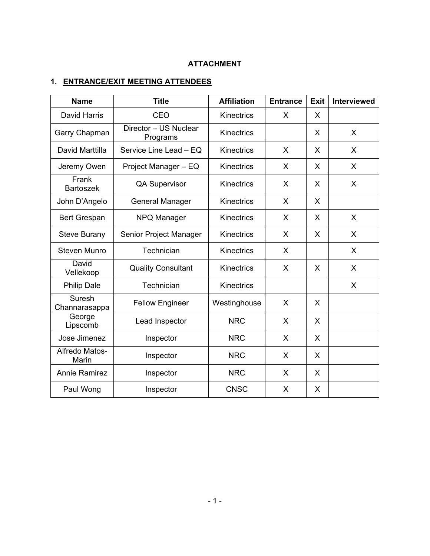# **ATTACHMENT**

# **1. ENTRANCE/EXIT MEETING ATTENDEES**

| <b>Name</b>               | <b>Title</b>                      | <b>Affiliation</b> | <b>Entrance</b> | <b>Exit</b> | <b>Interviewed</b> |
|---------------------------|-----------------------------------|--------------------|-----------------|-------------|--------------------|
| David Harris              | CEO                               | Kinectrics         | X               | X           |                    |
| Garry Chapman             | Director - US Nuclear<br>Programs | Kinectrics         |                 | X.          | $\mathsf{X}$       |
| David Marttilla           | Service Line Lead - EQ            | Kinectrics         | X               | X           | X                  |
| Jeremy Owen               | Project Manager - EQ              | Kinectrics         | X               | X           | X                  |
| Frank<br><b>Bartoszek</b> | <b>QA Supervisor</b>              | Kinectrics         | X               | X           | $\mathsf{X}$       |
| John D'Angelo             | <b>General Manager</b>            | Kinectrics         | X               | X           |                    |
| <b>Bert Grespan</b>       | NPQ Manager                       | Kinectrics         | X               | X           | $\mathsf{X}$       |
| <b>Steve Burany</b>       | Senior Project Manager            | Kinectrics         | X               | X           | X                  |
| <b>Steven Munro</b>       | Technician                        | Kinectrics         | X               |             | X                  |
| David<br>Vellekoop        | <b>Quality Consultant</b>         | Kinectrics         | X               | X           | X                  |
| <b>Philip Dale</b>        | Technician                        | <b>Kinectrics</b>  |                 |             | $\mathsf{X}$       |
| Suresh<br>Channarasappa   | <b>Fellow Engineer</b>            | Westinghouse       | X               | X           |                    |
| George<br>Lipscomb        | Lead Inspector                    | <b>NRC</b>         | X               | X           |                    |
| Jose Jimenez              | Inspector                         | <b>NRC</b>         | X               | X           |                    |
| Alfredo Matos-<br>Marin   | Inspector                         | <b>NRC</b>         | X               | X           |                    |
| Annie Ramirez             | Inspector                         | <b>NRC</b>         | X               | X           |                    |
| Paul Wong                 | Inspector                         | <b>CNSC</b>        | X               | X           |                    |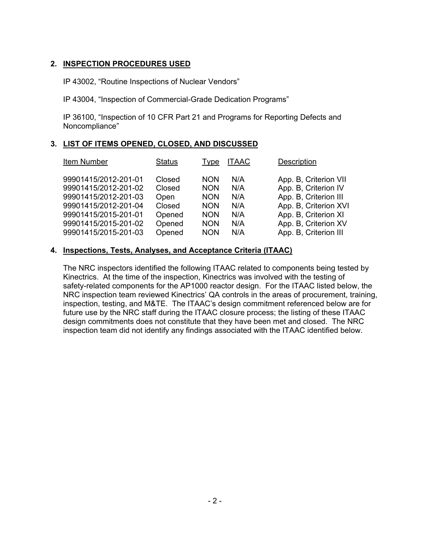## **2. INSPECTION PROCEDURES USED**

IP 43002, "Routine Inspections of Nuclear Vendors"

IP 43004, "Inspection of Commercial-Grade Dedication Programs"

IP 36100, "Inspection of 10 CFR Part 21 and Programs for Reporting Defects and Noncompliance"

# **3. LIST OF ITEMS OPENED, CLOSED, AND DISCUSSED**

| Item Number          | <b>Status</b> | Type       | <b>ITAAC</b> | Description           |
|----------------------|---------------|------------|--------------|-----------------------|
| 99901415/2012-201-01 | Closed        | <b>NON</b> | N/A          | App. B, Criterion VII |
| 99901415/2012-201-02 | Closed        | <b>NON</b> | N/A          | App. B, Criterion IV  |
| 99901415/2012-201-03 | Open          | <b>NON</b> | N/A          | App. B, Criterion III |
| 99901415/2012-201-04 | Closed        | <b>NON</b> | N/A          | App. B, Criterion XVI |
| 99901415/2015-201-01 | Opened        | <b>NON</b> | N/A          | App. B, Criterion XI  |
| 99901415/2015-201-02 | Opened        | <b>NON</b> | N/A          | App. B, Criterion XV  |
| 99901415/2015-201-03 | Opened        | <b>NON</b> | N/A          | App. B, Criterion III |

# **4. Inspections, Tests, Analyses, and Acceptance Criteria (ITAAC)**

The NRC inspectors identified the following ITAAC related to components being tested by Kinectrics. At the time of the inspection, Kinectrics was involved with the testing of safety-related components for the AP1000 reactor design. For the ITAAC listed below, the NRC inspection team reviewed Kinectrics' QA controls in the areas of procurement, training, inspection, testing, and M&TE. The ITAAC's design commitment referenced below are for future use by the NRC staff during the ITAAC closure process; the listing of these ITAAC design commitments does not constitute that they have been met and closed. The NRC inspection team did not identify any findings associated with the ITAAC identified below.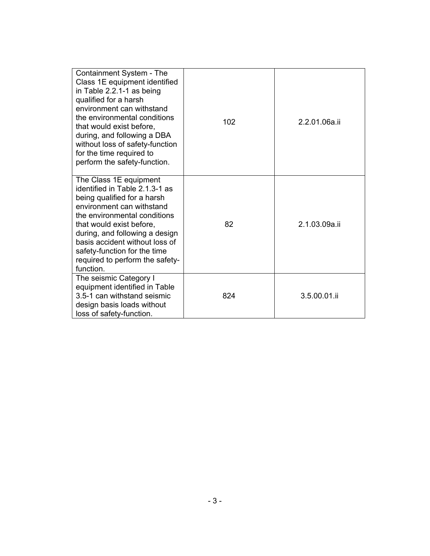| Containment System - The<br>Class 1E equipment identified<br>in Table 2.2.1-1 as being<br>qualified for a harsh<br>environment can withstand<br>the environmental conditions<br>that would exist before,<br>during, and following a DBA<br>without loss of safety-function<br>for the time required to<br>perform the safety-function. | 102 | 2.2.01.06a.ii |
|----------------------------------------------------------------------------------------------------------------------------------------------------------------------------------------------------------------------------------------------------------------------------------------------------------------------------------------|-----|---------------|
| The Class 1E equipment<br>identified in Table 2.1.3-1 as<br>being qualified for a harsh<br>environment can withstand<br>the environmental conditions<br>that would exist before,<br>during, and following a design<br>basis accident without loss of<br>safety-function for the time<br>required to perform the safety-<br>function.   | 82  | 2.1.03.09a.ii |
| The seismic Category I<br>equipment identified in Table<br>3.5-1 can withstand seismic<br>design basis loads without<br>loss of safety-function.                                                                                                                                                                                       | 824 | 3.5.00.01.ii  |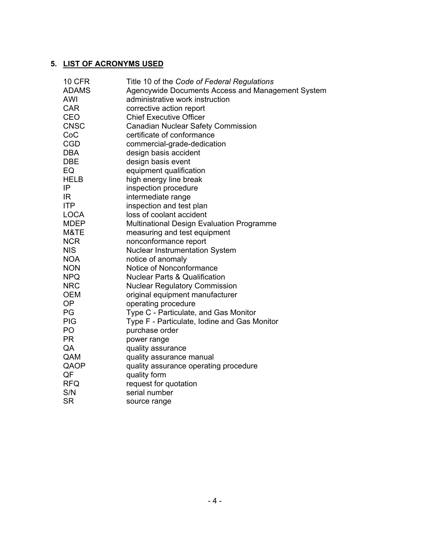# **5. LIST OF ACRONYMS USED**

| Title 10 of the Code of Federal Regulations       |
|---------------------------------------------------|
| Agencywide Documents Access and Management System |
| administrative work instruction                   |
| corrective action report                          |
| <b>Chief Executive Officer</b>                    |
| <b>Canadian Nuclear Safety Commission</b>         |
| certificate of conformance                        |
| commercial-grade-dedication                       |
| design basis accident                             |
| design basis event                                |
| equipment qualification                           |
| high energy line break                            |
| inspection procedure                              |
| intermediate range                                |
| inspection and test plan                          |
| loss of coolant accident                          |
| <b>Multinational Design Evaluation Programme</b>  |
| measuring and test equipment                      |
| nonconformance report                             |
| <b>Nuclear Instrumentation System</b>             |
| notice of anomaly                                 |
| Notice of Nonconformance                          |
| <b>Nuclear Parts &amp; Qualification</b>          |
| <b>Nuclear Regulatory Commission</b>              |
| original equipment manufacturer                   |
| operating procedure                               |
| Type C - Particulate, and Gas Monitor             |
| Type F - Particulate, Iodine and Gas Monitor      |
| purchase order                                    |
| power range                                       |
| quality assurance                                 |
| quality assurance manual                          |
| quality assurance operating procedure             |
| quality form                                      |
| request for quotation                             |
| serial number                                     |
| source range                                      |
|                                                   |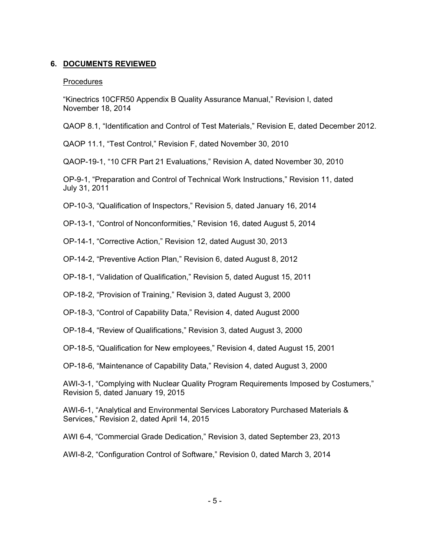## **6. DOCUMENTS REVIEWED**

#### Procedures

"Kinectrics 10CFR50 Appendix B Quality Assurance Manual," Revision I, dated November 18, 2014

QAOP 8.1, "Identification and Control of Test Materials," Revision E, dated December 2012.

QAOP 11.1, "Test Control," Revision F, dated November 30, 2010

QAOP-19-1, "10 CFR Part 21 Evaluations," Revision A, dated November 30, 2010

OP-9-1, "Preparation and Control of Technical Work Instructions," Revision 11, dated July 31, 2011

OP-10-3, "Qualification of Inspectors," Revision 5, dated January 16, 2014

OP-13-1, "Control of Nonconformities," Revision 16, dated August 5, 2014

OP-14-1, "Corrective Action," Revision 12, dated August 30, 2013

OP-14-2, "Preventive Action Plan," Revision 6, dated August 8, 2012

OP-18-1, "Validation of Qualification," Revision 5, dated August 15, 2011

OP-18-2, "Provision of Training," Revision 3, dated August 3, 2000

OP-18-3, "Control of Capability Data," Revision 4, dated August 2000

OP-18-4, "Review of Qualifications," Revision 3, dated August 3, 2000

OP-18-5, "Qualification for New employees," Revision 4, dated August 15, 2001

OP-18-6, "Maintenance of Capability Data," Revision 4, dated August 3, 2000

AWI-3-1, "Complying with Nuclear Quality Program Requirements Imposed by Costumers," Revision 5, dated January 19, 2015

AWI-6-1, "Analytical and Environmental Services Laboratory Purchased Materials & Services," Revision 2, dated April 14, 2015

AWI 6-4, "Commercial Grade Dedication," Revision 3, dated September 23, 2013

AWI-8-2, "Configuration Control of Software," Revision 0, dated March 3, 2014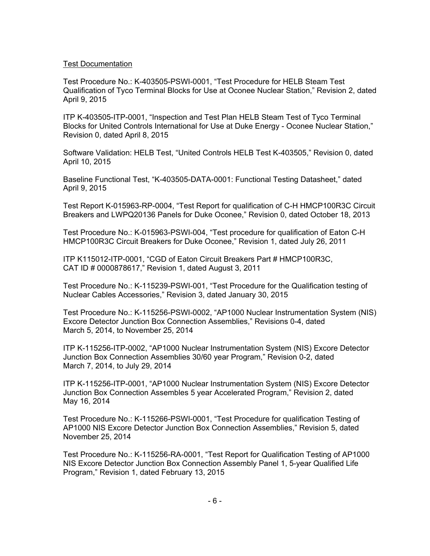### Test Documentation

Test Procedure No.: K-403505-PSWI-0001, "Test Procedure for HELB Steam Test Qualification of Tyco Terminal Blocks for Use at Oconee Nuclear Station," Revision 2, dated April 9, 2015

ITP K-403505-ITP-0001, "Inspection and Test Plan HELB Steam Test of Tyco Terminal Blocks for United Controls International for Use at Duke Energy - Oconee Nuclear Station," Revision 0, dated April 8, 2015

Software Validation: HELB Test, "United Controls HELB Test K-403505," Revision 0, dated April 10, 2015

Baseline Functional Test, "K-403505-DATA-0001: Functional Testing Datasheet," dated April 9, 2015

Test Report K-015963-RP-0004, "Test Report for qualification of C-H HMCP100R3C Circuit Breakers and LWPQ20136 Panels for Duke Oconee," Revision 0, dated October 18, 2013

Test Procedure No.: K-015963-PSWI-004, "Test procedure for qualification of Eaton C-H HMCP100R3C Circuit Breakers for Duke Oconee," Revision 1, dated July 26, 2011

ITP K115012-ITP-0001, "CGD of Eaton Circuit Breakers Part # HMCP100R3C, CAT ID # 0000878617," Revision 1, dated August 3, 2011

Test Procedure No.: K-115239-PSWI-001, "Test Procedure for the Qualification testing of Nuclear Cables Accessories," Revision 3, dated January 30, 2015

Test Procedure No.: K-115256-PSWI-0002, "AP1000 Nuclear Instrumentation System (NIS) Excore Detector Junction Box Connection Assemblies," Revisions 0-4, dated March 5, 2014, to November 25, 2014

ITP K-115256-ITP-0002, "AP1000 Nuclear Instrumentation System (NIS) Excore Detector Junction Box Connection Assemblies 30/60 year Program," Revision 0-2, dated March 7, 2014, to July 29, 2014

ITP K-115256-ITP-0001, "AP1000 Nuclear Instrumentation System (NIS) Excore Detector Junction Box Connection Assembles 5 year Accelerated Program," Revision 2, dated May 16, 2014

Test Procedure No.: K-115266-PSWI-0001, "Test Procedure for qualification Testing of AP1000 NIS Excore Detector Junction Box Connection Assemblies," Revision 5, dated November 25, 2014

Test Procedure No.: K-115256-RA-0001, "Test Report for Qualification Testing of AP1000 NIS Excore Detector Junction Box Connection Assembly Panel 1, 5-year Qualified Life Program," Revision 1, dated February 13, 2015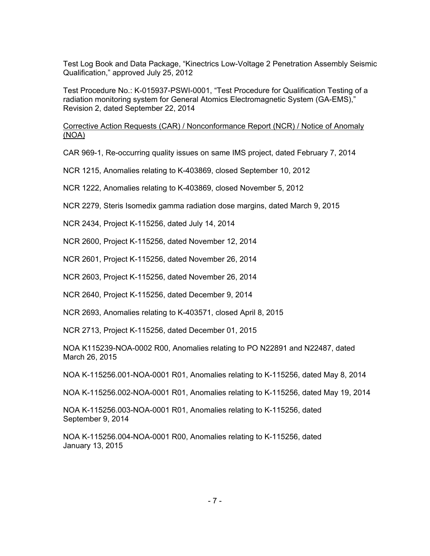Test Log Book and Data Package, "Kinectrics Low-Voltage 2 Penetration Assembly Seismic Qualification," approved July 25, 2012

Test Procedure No.: K-015937-PSWI-0001, "Test Procedure for Qualification Testing of a radiation monitoring system for General Atomics Electromagnetic System (GA-EMS)," Revision 2, dated September 22, 2014

Corrective Action Requests (CAR) / Nonconformance Report (NCR) / Notice of Anomaly (NOA)

CAR 969-1, Re-occurring quality issues on same IMS project, dated February 7, 2014

NCR 1215, Anomalies relating to K-403869, closed September 10, 2012

NCR 1222, Anomalies relating to K-403869, closed November 5, 2012

NCR 2279, Steris Isomedix gamma radiation dose margins, dated March 9, 2015

NCR 2434, Project K-115256, dated July 14, 2014

NCR 2600, Project K-115256, dated November 12, 2014

NCR 2601, Project K-115256, dated November 26, 2014

NCR 2603, Project K-115256, dated November 26, 2014

NCR 2640, Project K-115256, dated December 9, 2014

NCR 2693, Anomalies relating to K-403571, closed April 8, 2015

NCR 2713, Project K-115256, dated December 01, 2015

NOA K115239-NOA-0002 R00, Anomalies relating to PO N22891 and N22487, dated March 26, 2015

NOA K-115256.001-NOA-0001 R01, Anomalies relating to K-115256, dated May 8, 2014

NOA K-115256.002-NOA-0001 R01, Anomalies relating to K-115256, dated May 19, 2014

NOA K-115256.003-NOA-0001 R01, Anomalies relating to K-115256, dated September 9, 2014

NOA K-115256.004-NOA-0001 R00, Anomalies relating to K-115256, dated January 13, 2015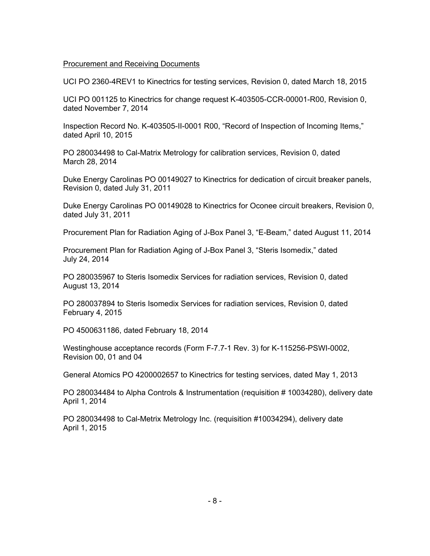#### Procurement and Receiving Documents

UCI PO 2360-4REV1 to Kinectrics for testing services, Revision 0, dated March 18, 2015

UCI PO 001125 to Kinectrics for change request K-403505-CCR-00001-R00, Revision 0, dated November 7, 2014

Inspection Record No. K-403505-II-0001 R00, "Record of Inspection of Incoming Items," dated April 10, 2015

PO 280034498 to Cal-Matrix Metrology for calibration services, Revision 0, dated March 28, 2014

Duke Energy Carolinas PO 00149027 to Kinectrics for dedication of circuit breaker panels, Revision 0, dated July 31, 2011

Duke Energy Carolinas PO 00149028 to Kinectrics for Oconee circuit breakers, Revision 0, dated July 31, 2011

Procurement Plan for Radiation Aging of J-Box Panel 3, "E-Beam," dated August 11, 2014

Procurement Plan for Radiation Aging of J-Box Panel 3, "Steris Isomedix," dated July 24, 2014

PO 280035967 to Steris Isomedix Services for radiation services, Revision 0, dated August 13, 2014

PO 280037894 to Steris Isomedix Services for radiation services, Revision 0, dated February 4, 2015

PO 4500631186, dated February 18, 2014

Westinghouse acceptance records (Form F-7.7-1 Rev. 3) for K-115256-PSWI-0002, Revision 00, 01 and 04

General Atomics PO 4200002657 to Kinectrics for testing services, dated May 1, 2013

PO 280034484 to Alpha Controls & Instrumentation (requisition # 10034280), delivery date April 1, 2014

PO 280034498 to Cal-Metrix Metrology Inc. (requisition #10034294), delivery date April 1, 2015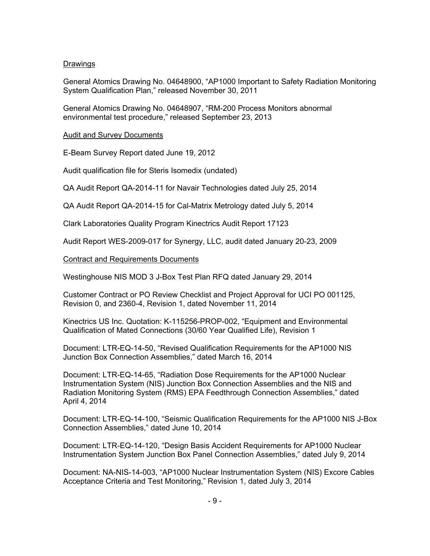## Drawings

General Atomics Drawing No. 04648900, "AP1000 Important to Safety Radiation Monitoring System Qualification Plan," released November 30, 2011

General Atomics Drawing No. 04648907, "RM-200 Process Monitors abnormal environmental test procedure," released September 23, 2013

#### Audit and Survey Documents

E-Beam Survey Report dated June 19, 2012

Audit qualification file for Steris Isomedix (undated)

QA Audit Report QA-2014-11 for Navair Technologies dated July 25, 2014

QA Audit Report QA-2014-15 for Cal-Matrix Metrology dated July 5, 2014

Clark Laboratories Quality Program Kinectrics Audit Report 17123

Audit Report WES-2009-017 for Synergy, LLC, audit dated January 20-23, 2009

Contract and Requirements Documents

Westinghouse NIS MOD 3 J-Box Test Plan RFQ dated January 29, 2014

Customer Contract or PO Review Checklist and Project Approval for UCI PO 001125, Revision 0, and 2360-4, Revision 1, dated November 11, 2014

Kinectrics US Inc. Quotation: K-115256-PROP-002, "Equipment and Environmental Qualification of Mated Connections (30/60 Year Qualified Life), Revision 1

Document: LTR-EQ-14-50, "Revised Qualification Requirements for the AP1000 NIS Junction Box Connection Assemblies," dated March 16, 2014

Document: LTR-EQ-14-65, "Radiation Dose Requirements for the AP1000 Nuclear Instrumentation System (NIS) Junction Box Connection Assemblies and the NIS and Radiation Monitoring System (RMS) EPA Feedthrough Connection Assemblies," dated April 4, 2014

Document: LTR-EQ-14-100, "Seismic Qualification Requirements for the AP1000 NIS J-Box Connection Assemblies," dated June 10, 2014

Document: LTR-EQ-14-120, "Design Basis Accident Requirements for AP1000 Nuclear Instrumentation System Junction Box Panel Connection Assemblies," dated July 9, 2014

Document: NA-NIS-14-003, "AP1000 Nuclear Instrumentation System (NIS) Excore Cables Acceptance Criteria and Test Monitoring," Revision 1, dated July 3, 2014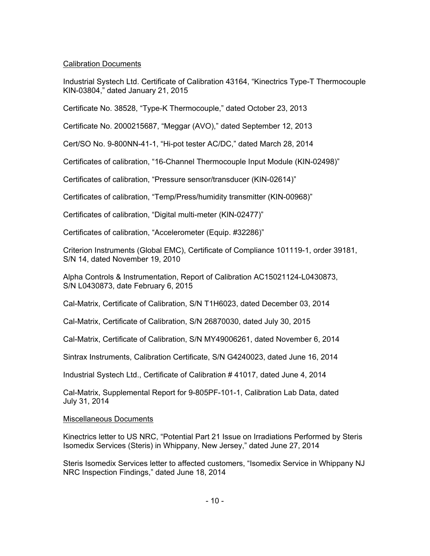# Calibration Documents

Industrial Systech Ltd. Certificate of Calibration 43164, "Kinectrics Type-T Thermocouple KIN-03804," dated January 21, 2015

Certificate No. 38528, "Type-K Thermocouple," dated October 23, 2013

Certificate No. 2000215687, "Meggar (AVO)," dated September 12, 2013

Cert/SO No. 9-800NN-41-1, "Hi-pot tester AC/DC," dated March 28, 2014

Certificates of calibration, "16-Channel Thermocouple Input Module (KIN-02498)"

Certificates of calibration, "Pressure sensor/transducer (KIN-02614)"

Certificates of calibration, "Temp/Press/humidity transmitter (KIN-00968)"

Certificates of calibration, "Digital multi-meter (KIN-02477)"

Certificates of calibration, "Accelerometer (Equip. #32286)"

Criterion Instruments (Global EMC), Certificate of Compliance 101119-1, order 39181, S/N 14, dated November 19, 2010

Alpha Controls & Instrumentation, Report of Calibration AC15021124-L0430873, S/N L0430873, date February 6, 2015

Cal-Matrix, Certificate of Calibration, S/N T1H6023, dated December 03, 2014

Cal-Matrix, Certificate of Calibration, S/N 26870030, dated July 30, 2015

Cal-Matrix, Certificate of Calibration, S/N MY49006261, dated November 6, 2014

Sintrax Instruments, Calibration Certificate, S/N G4240023, dated June 16, 2014

Industrial Systech Ltd., Certificate of Calibration # 41017, dated June 4, 2014

Cal-Matrix, Supplemental Report for 9-805PF-101-1, Calibration Lab Data, dated July 31, 2014

## Miscellaneous Documents

Kinectrics letter to US NRC, "Potential Part 21 Issue on Irradiations Performed by Steris Isomedix Services (Steris) in Whippany, New Jersey," dated June 27, 2014

Steris Isomedix Services letter to affected customers, "Isomedix Service in Whippany NJ NRC Inspection Findings," dated June 18, 2014